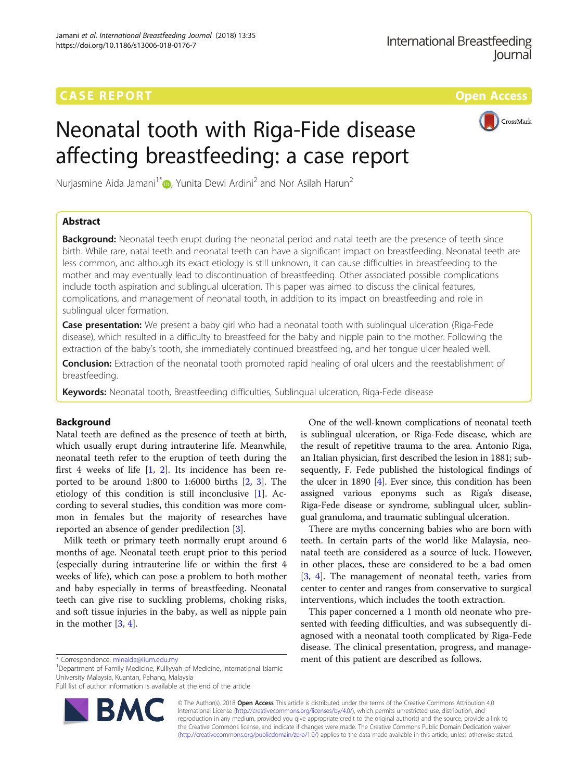# **CASE REPORT CASE REPORT CASE REPORT**



CrossMark

Nurjasmine Aida Jamani<sup>1\*</sup> <sub>(b</sub>. Yunita Dewi Ardini<sup>2</sup> and Nor Asilah Harun<sup>2</sup>

## Abstract

**Background:** Neonatal teeth erupt during the neonatal period and natal teeth are the presence of teeth since birth. While rare, natal teeth and neonatal teeth can have a significant impact on breastfeeding. Neonatal teeth are less common, and although its exact etiology is still unknown, it can cause difficulties in breastfeeding to the mother and may eventually lead to discontinuation of breastfeeding. Other associated possible complications include tooth aspiration and sublingual ulceration. This paper was aimed to discuss the clinical features, complications, and management of neonatal tooth, in addition to its impact on breastfeeding and role in sublingual ulcer formation.

**Case presentation:** We present a baby girl who had a neonatal tooth with sublingual ulceration (Riga-Fede disease), which resulted in a difficulty to breastfeed for the baby and nipple pain to the mother. Following the extraction of the baby's tooth, she immediately continued breastfeeding, and her tongue ulcer healed well.

**Conclusion:** Extraction of the neonatal tooth promoted rapid healing of oral ulcers and the reestablishment of breastfeeding.

Keywords: Neonatal tooth, Breastfeeding difficulties, Sublingual ulceration, Riga-Fede disease

## Background

Natal teeth are defined as the presence of teeth at birth, which usually erupt during intrauterine life. Meanwhile, neonatal teeth refer to the eruption of teeth during the first 4 weeks of life  $[1, 2]$  $[1, 2]$  $[1, 2]$  $[1, 2]$ . Its incidence has been reported to be around 1:800 to 1:6000 births [\[2](#page-3-0), [3\]](#page-3-0). The etiology of this condition is still inconclusive [[1](#page-3-0)]. According to several studies, this condition was more common in females but the majority of researches have reported an absence of gender predilection [[3\]](#page-3-0).

Milk teeth or primary teeth normally erupt around 6 months of age. Neonatal teeth erupt prior to this period (especially during intrauterine life or within the first 4 weeks of life), which can pose a problem to both mother and baby especially in terms of breastfeeding. Neonatal teeth can give rise to suckling problems, choking risks, and soft tissue injuries in the baby, as well as nipple pain in the mother [\[3](#page-3-0), [4](#page-3-0)].

<sup>1</sup>Department of Family Medicine, Kulliyyah of Medicine, International Islamic University Malaysia, Kuantan, Pahang, Malaysia

Full list of author information is available at the end of the article



One of the well-known complications of neonatal teeth is sublingual ulceration, or Riga-Fede disease, which are the result of repetitive trauma to the area. Antonio Riga, an Italian physician, first described the lesion in 1881; subsequently, F. Fede published the histological findings of the ulcer in 1890 [\[4\]](#page-3-0). Ever since, this condition has been assigned various eponyms such as Riga's disease, Riga-Fede disease or syndrome, sublingual ulcer, sublingual granuloma, and traumatic sublingual ulceration.

There are myths concerning babies who are born with teeth. In certain parts of the world like Malaysia, neonatal teeth are considered as a source of luck. However, in other places, these are considered to be a bad omen [[3,](#page-3-0) [4](#page-3-0)]. The management of neonatal teeth, varies from center to center and ranges from conservative to surgical interventions, which includes the tooth extraction.

This paper concerned a 1 month old neonate who presented with feeding difficulties, and was subsequently diagnosed with a neonatal tooth complicated by Riga-Fede disease. The clinical presentation, progress, and manage- \* Correspondence: [minaida@iium.edu.my](mailto:minaida@iium.edu.my) ment of this patient are described as follows. <sup>1</sup>

> © The Author(s). 2018 Open Access This article is distributed under the terms of the Creative Commons Attribution 4.0 International License [\(http://creativecommons.org/licenses/by/4.0/](http://creativecommons.org/licenses/by/4.0/)), which permits unrestricted use, distribution, and reproduction in any medium, provided you give appropriate credit to the original author(s) and the source, provide a link to the Creative Commons license, and indicate if changes were made. The Creative Commons Public Domain Dedication waiver [\(http://creativecommons.org/publicdomain/zero/1.0/](http://creativecommons.org/publicdomain/zero/1.0/)) applies to the data made available in this article, unless otherwise stated.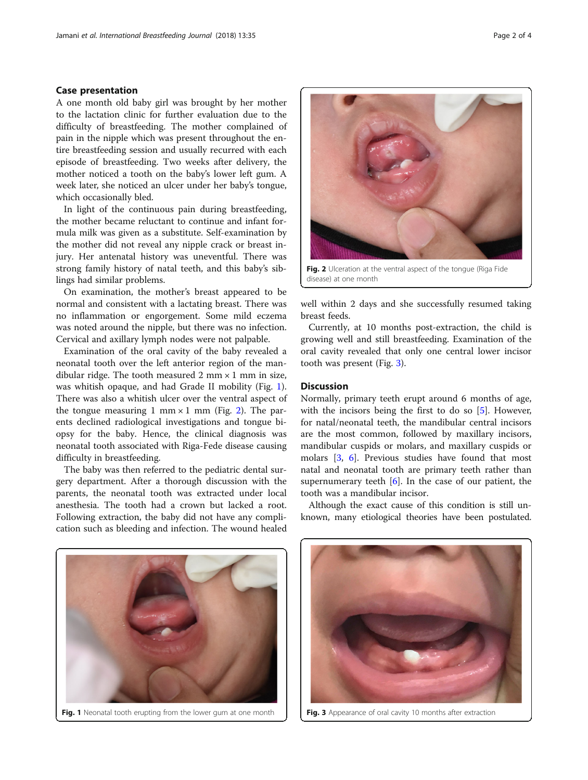### Case presentation

A one month old baby girl was brought by her mother to the lactation clinic for further evaluation due to the difficulty of breastfeeding. The mother complained of pain in the nipple which was present throughout the entire breastfeeding session and usually recurred with each episode of breastfeeding. Two weeks after delivery, the mother noticed a tooth on the baby's lower left gum. A week later, she noticed an ulcer under her baby's tongue, which occasionally bled.

In light of the continuous pain during breastfeeding, the mother became reluctant to continue and infant formula milk was given as a substitute. Self-examination by the mother did not reveal any nipple crack or breast injury. Her antenatal history was uneventful. There was strong family history of natal teeth, and this baby's siblings had similar problems.

On examination, the mother's breast appeared to be normal and consistent with a lactating breast. There was no inflammation or engorgement. Some mild eczema was noted around the nipple, but there was no infection. Cervical and axillary lymph nodes were not palpable.

Examination of the oral cavity of the baby revealed a neonatal tooth over the left anterior region of the mandibular ridge. The tooth measured 2 mm  $\times$  1 mm in size, was whitish opaque, and had Grade II mobility (Fig. 1). There was also a whitish ulcer over the ventral aspect of the tongue measuring 1 mm  $\times$  1 mm (Fig. 2). The parents declined radiological investigations and tongue biopsy for the baby. Hence, the clinical diagnosis was neonatal tooth associated with Riga-Fede disease causing difficulty in breastfeeding.

The baby was then referred to the pediatric dental surgery department. After a thorough discussion with the parents, the neonatal tooth was extracted under local anesthesia. The tooth had a crown but lacked a root. Following extraction, the baby did not have any complication such as bleeding and infection. The wound healed



Fig. 2 Ulceration at the ventral aspect of the tongue (Riga Fide disease) at one month

well within 2 days and she successfully resumed taking breast feeds.

Currently, at 10 months post-extraction, the child is growing well and still breastfeeding. Examination of the oral cavity revealed that only one central lower incisor tooth was present (Fig. 3).

## **Discussion**

Normally, primary teeth erupt around 6 months of age, with the incisors being the first to do so [\[5](#page-3-0)]. However, for natal/neonatal teeth, the mandibular central incisors are the most common, followed by maxillary incisors, mandibular cuspids or molars, and maxillary cuspids or molars [\[3,](#page-3-0) [6\]](#page-3-0). Previous studies have found that most natal and neonatal tooth are primary teeth rather than supernumerary teeth  $[6]$  $[6]$ . In the case of our patient, the tooth was a mandibular incisor.

Although the exact cause of this condition is still unknown, many etiological theories have been postulated.



Fig. 1 Neonatal tooth erupting from the lower gum at one month



Fig. 3 Appearance of oral cavity 10 months after extraction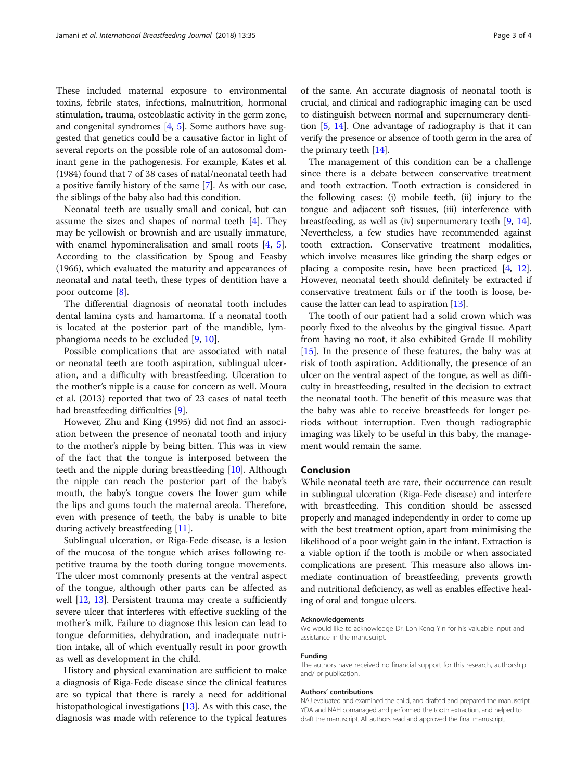These included maternal exposure to environmental toxins, febrile states, infections, malnutrition, hormonal stimulation, trauma, osteoblastic activity in the germ zone, and congenital syndromes [\[4,](#page-3-0) [5](#page-3-0)]. Some authors have suggested that genetics could be a causative factor in light of several reports on the possible role of an autosomal dominant gene in the pathogenesis. For example, Kates et al. (1984) found that 7 of 38 cases of natal/neonatal teeth had a positive family history of the same [[7\]](#page-3-0). As with our case, the siblings of the baby also had this condition.

Neonatal teeth are usually small and conical, but can assume the sizes and shapes of normal teeth [\[4](#page-3-0)]. They may be yellowish or brownish and are usually immature, with enamel hypomineralisation and small roots [[4,](#page-3-0) [5](#page-3-0)]. According to the classification by Spoug and Feasby (1966), which evaluated the maturity and appearances of neonatal and natal teeth, these types of dentition have a poor outcome [[8](#page-3-0)].

The differential diagnosis of neonatal tooth includes dental lamina cysts and hamartoma. If a neonatal tooth is located at the posterior part of the mandible, lymphangioma needs to be excluded [\[9,](#page-3-0) [10\]](#page-3-0).

Possible complications that are associated with natal or neonatal teeth are tooth aspiration, sublingual ulceration, and a difficulty with breastfeeding. Ulceration to the mother's nipple is a cause for concern as well. Moura et al. (2013) reported that two of 23 cases of natal teeth had breastfeeding difficulties [[9\]](#page-3-0).

However, Zhu and King (1995) did not find an association between the presence of neonatal tooth and injury to the mother's nipple by being bitten. This was in view of the fact that the tongue is interposed between the teeth and the nipple during breastfeeding [[10\]](#page-3-0). Although the nipple can reach the posterior part of the baby's mouth, the baby's tongue covers the lower gum while the lips and gums touch the maternal areola. Therefore, even with presence of teeth, the baby is unable to bite during actively breastfeeding [\[11\]](#page-3-0).

Sublingual ulceration, or Riga-Fede disease, is a lesion of the mucosa of the tongue which arises following repetitive trauma by the tooth during tongue movements. The ulcer most commonly presents at the ventral aspect of the tongue, although other parts can be affected as well [[12,](#page-3-0) [13\]](#page-3-0). Persistent trauma may create a sufficiently severe ulcer that interferes with effective suckling of the mother's milk. Failure to diagnose this lesion can lead to tongue deformities, dehydration, and inadequate nutrition intake, all of which eventually result in poor growth as well as development in the child.

History and physical examination are sufficient to make a diagnosis of Riga-Fede disease since the clinical features are so typical that there is rarely a need for additional histopathological investigations [[13](#page-3-0)]. As with this case, the diagnosis was made with reference to the typical features of the same. An accurate diagnosis of neonatal tooth is crucial, and clinical and radiographic imaging can be used to distinguish between normal and supernumerary dentition [[5](#page-3-0), [14](#page-3-0)]. One advantage of radiography is that it can verify the presence or absence of tooth germ in the area of the primary teeth [[14](#page-3-0)].

The management of this condition can be a challenge since there is a debate between conservative treatment and tooth extraction. Tooth extraction is considered in the following cases: (i) mobile teeth, (ii) injury to the tongue and adjacent soft tissues, (iii) interference with breastfeeding, as well as (iv) supernumerary teeth [\[9](#page-3-0), [14](#page-3-0)]. Nevertheless, a few studies have recommended against tooth extraction. Conservative treatment modalities, which involve measures like grinding the sharp edges or placing a composite resin, have been practiced [[4,](#page-3-0) [12](#page-3-0)]. However, neonatal teeth should definitely be extracted if conservative treatment fails or if the tooth is loose, because the latter can lead to aspiration [\[13](#page-3-0)].

The tooth of our patient had a solid crown which was poorly fixed to the alveolus by the gingival tissue. Apart from having no root, it also exhibited Grade II mobility [[15\]](#page-3-0). In the presence of these features, the baby was at risk of tooth aspiration. Additionally, the presence of an ulcer on the ventral aspect of the tongue, as well as difficulty in breastfeeding, resulted in the decision to extract the neonatal tooth. The benefit of this measure was that the baby was able to receive breastfeeds for longer periods without interruption. Even though radiographic imaging was likely to be useful in this baby, the management would remain the same.

## Conclusion

While neonatal teeth are rare, their occurrence can result in sublingual ulceration (Riga-Fede disease) and interfere with breastfeeding. This condition should be assessed properly and managed independently in order to come up with the best treatment option, apart from minimising the likelihood of a poor weight gain in the infant. Extraction is a viable option if the tooth is mobile or when associated complications are present. This measure also allows immediate continuation of breastfeeding, prevents growth and nutritional deficiency, as well as enables effective healing of oral and tongue ulcers.

#### Acknowledgements

We would like to acknowledge Dr. Loh Keng Yin for his valuable input and assistance in the manuscript.

### Funding

The authors have received no financial support for this research, authorship and/ or publication.

#### Authors' contributions

NAJ evaluated and examined the child, and drafted and prepared the manuscript. YDA and NAH comanaged and performed the tooth extraction, and helped to draft the manuscript. All authors read and approved the final manuscript.